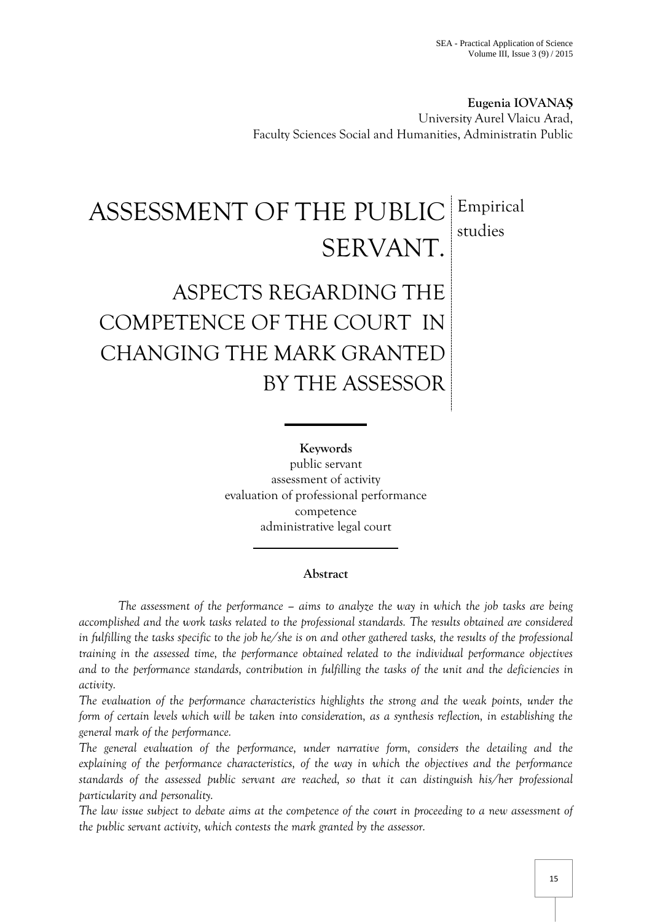**Eugenia IOVANAŞ** University Aurel Vlaicu Arad, Faculty Sciences Social and Humanities, Administratin Public

## ASSESSMENT OF THE PUBLIC SERVANT. Empirical studies

## ASPECTS REGARDING THE COMPETENCE OF THE COURT IN CHANGING THE MARK GRANTED BY THE ASSESSOR

**Keywords** public servant assessment of activity evaluation of professional performance competence administrative legal court

## **Abstract**

*The assessment of the performance – aims to analyze the way in which the job tasks are being accomplished and the work tasks related to the professional standards. The results obtained are considered in fulfilling the tasks specific to the job he/she is on and other gathered tasks, the results of the professional training in the assessed time, the performance obtained related to the individual performance objectives and to the performance standards, contribution in fulfilling the tasks of the unit and the deficiencies in activity.*

*The evaluation of the performance characteristics highlights the strong and the weak points, under the form of certain levels which will be taken into consideration, as a synthesis reflection, in establishing the general mark of the performance.*

*The general evaluation of the performance, under narrative form, considers the detailing and the explaining of the performance characteristics, of the way in which the objectives and the performance standards of the assessed public servant are reached, so that it can distinguish his/her professional particularity and personality.*

*The law issue subject to debate aims at the competence of the court in proceeding to a new assessment of the public servant activity, which contests the mark granted by the assessor.*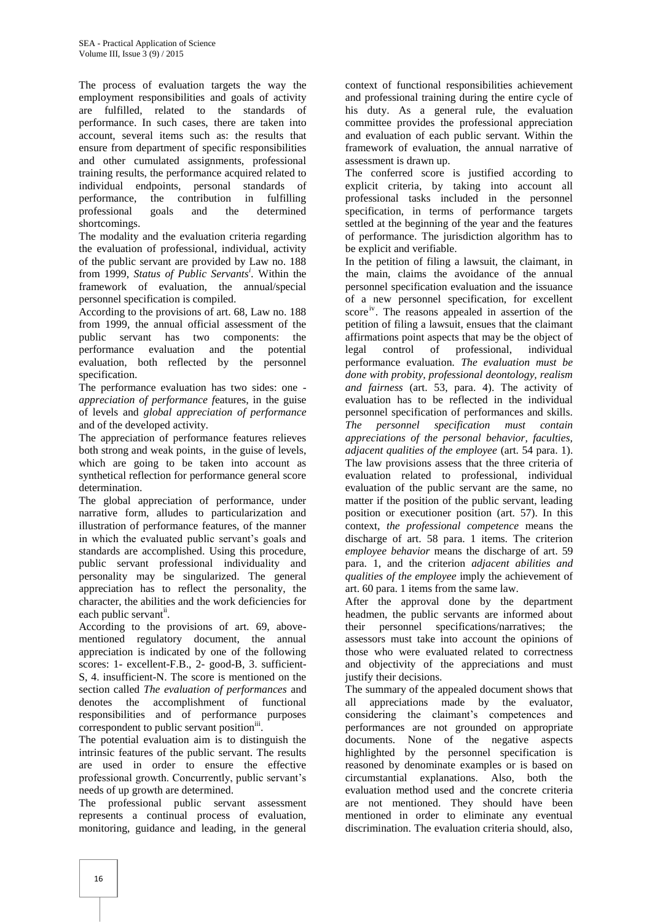The process of evaluation targets the way the employment responsibilities and goals of activity are fulfilled, related to the standards of performance. In such cases, there are taken into account, several items such as: the results that ensure from department of specific responsibilities and other cumulated assignments, professional training results, the performance acquired related to individual endpoints, personal standards of performance, the contribution in fulfilling professional goals and the determined shortcomings.

The modality and the evaluation criteria regarding the evaluation of professional, individual, activity of the public servant are provided by Law no. 188 from 1999, *Status of Public Servants<sup>i</sup> .* Within the framework of evaluation, the annual/special personnel specification is compiled.

According to the provisions of art. 68, Law no. 188 from 1999, the annual official assessment of the public servant has two components: the performance evaluation and the potential evaluation, both reflected by the personnel specification.

The performance evaluation has two sides: one *appreciation of performance f*eatures, in the guise of levels and *global appreciation of performance* and of the developed activity.

The appreciation of performance features relieves both strong and weak points, in the guise of levels, which are going to be taken into account as synthetical reflection for performance general score determination.

The global appreciation of performance, under narrative form, alludes to particularization and illustration of performance features, of the manner in which the evaluated public servant's goals and standards are accomplished. Using this procedure, public servant professional individuality and personality may be singularized. The general appreciation has to reflect the personality, the character, the abilities and the work deficiencies for each public servant<sup>ii</sup>.

According to the provisions of art. 69, abovementioned regulatory document, the annual appreciation is indicated by one of the following scores: 1- excellent-F.B., 2- good-B, 3. sufficient-S, 4. insufficient-N. The score is mentioned on the section called *The evaluation of performances* and denotes the accomplishment of functional responsibilities and of performance purposes correspondent to public servant position<sup>iii</sup>.

The potential evaluation aim is to distinguish the intrinsic features of the public servant. The results are used in order to ensure the effective professional growth. Concurrently, public servant's needs of up growth are determined.

The professional public servant assessment represents a continual process of evaluation, monitoring, guidance and leading, in the general

context of functional responsibilities achievement and professional training during the entire cycle of his duty. As a general rule, the evaluation committee provides the professional appreciation and evaluation of each public servant. Within the framework of evaluation, the annual narrative of assessment is drawn up.

The conferred score is justified according to explicit criteria, by taking into account all professional tasks included in the personnel specification, in terms of performance targets settled at the beginning of the year and the features of performance. The jurisdiction algorithm has to be explicit and verifiable.

In the petition of filing a lawsuit, the claimant, in the main, claims the avoidance of the annual personnel specification evaluation and the issuance of a new personnel specification, for excellent score<sup>iv</sup>. The reasons appealed in assertion of the petition of filing a lawsuit, ensues that the claimant affirmations point aspects that may be the object of legal control of professional, individual performance evaluation*. The evaluation must be done with probity, professional deontology, realism and fairness* (art. 53, para. 4). The activity of evaluation has to be reflected in the individual personnel specification of performances and skills. *The personnel specification must contain appreciations of the personal behavior, faculties, adjacent qualities of the employee* (art. 54 para. 1). The law provisions assess that the three criteria of evaluation related to professional, individual evaluation of the public servant are the same, no matter if the position of the public servant, leading position or executioner position (art. 57). In this context, *the professional competence* means the discharge of art. 58 para. 1 items. The criterion *employee behavior* means the discharge of art. 59 para. 1, and the criterion *adjacent abilities and qualities of the employee* imply the achievement of art. 60 para. 1 items from the same law.

After the approval done by the department headmen, the public servants are informed about their personnel specifications/narratives; the assessors must take into account the opinions of those who were evaluated related to correctness and objectivity of the appreciations and must justify their decisions.

The summary of the appealed document shows that all appreciations made by the evaluator, considering the claimant's competences and performances are not grounded on appropriate documents. None of the negative aspects highlighted by the personnel specification is reasoned by denominate examples or is based on circumstantial explanations. Also, both the evaluation method used and the concrete criteria are not mentioned. They should have been mentioned in order to eliminate any eventual discrimination. The evaluation criteria should, also,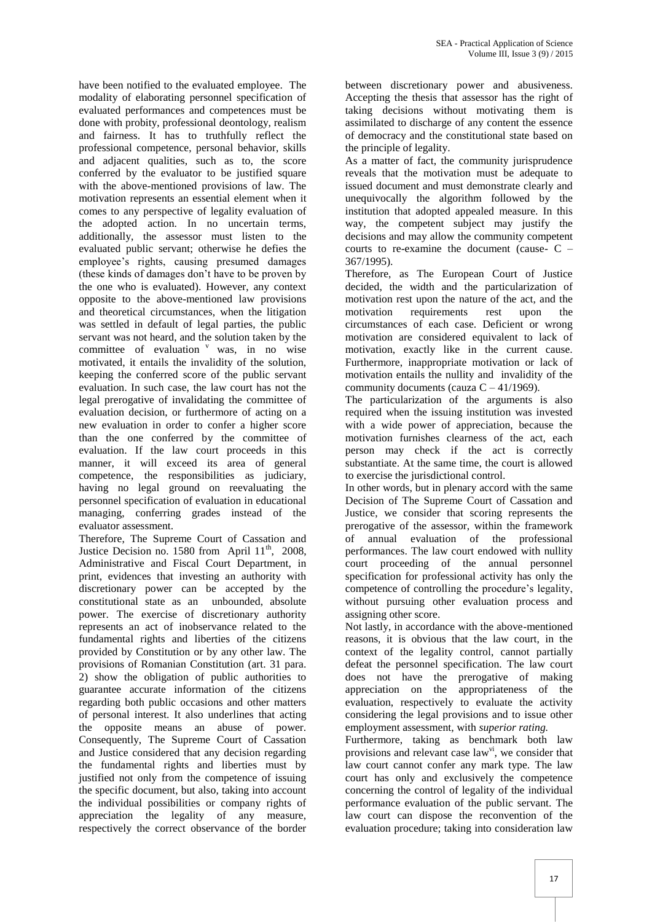have been notified to the evaluated employee. The modality of elaborating personnel specification of evaluated performances and competences must be done with probity, professional deontology, realism and fairness. It has to truthfully reflect the professional competence, personal behavior, skills and adjacent qualities, such as to, the score conferred by the evaluator to be justified square with the above-mentioned provisions of law. The motivation represents an essential element when it comes to any perspective of legality evaluation of the adopted action. In no uncertain terms, additionally, the assessor must listen to the evaluated public servant; otherwise he defies the employee's rights, causing presumed damages (these kinds of damages don't have to be proven by the one who is evaluated). However, any context opposite to the above-mentioned law provisions and theoretical circumstances, when the litigation was settled in default of legal parties, the public servant was not heard, and the solution taken by the committee of evaluation  $\overline{v}$  was, in no wise motivated, it entails the invalidity of the solution, keeping the conferred score of the public servant evaluation. In such case, the law court has not the legal prerogative of invalidating the committee of evaluation decision, or furthermore of acting on a new evaluation in order to confer a higher score than the one conferred by the committee of evaluation. If the law court proceeds in this manner, it will exceed its area of general competence, the responsibilities as judiciary, having no legal ground on reevaluating the personnel specification of evaluation in educational managing, conferring grades instead of the evaluator assessment.

Therefore, The Supreme Court of Cassation and Justice Decision no. 1580 from April  $11<sup>th</sup>$ , 2008, Administrative and Fiscal Court Department, in print, evidences that investing an authority with discretionary power can be accepted by the constitutional state as an unbounded, absolute power. The exercise of discretionary authority represents an act of inobservance related to the fundamental rights and liberties of the citizens provided by Constitution or by any other law. The provisions of Romanian Constitution (art. 31 para. 2) show the obligation of public authorities to guarantee accurate information of the citizens regarding both public occasions and other matters of personal interest. It also underlines that acting the opposite means an abuse of power. Consequently, The Supreme Court of Cassation and Justice considered that any decision regarding the fundamental rights and liberties must by justified not only from the competence of issuing the specific document, but also, taking into account the individual possibilities or company rights of appreciation the legality of any measure, respectively the correct observance of the border between discretionary power and abusiveness. Accepting the thesis that assessor has the right of taking decisions without motivating them is assimilated to discharge of any content the essence of democracy and the constitutional state based on the principle of legality.

As a matter of fact, the community jurisprudence reveals that the motivation must be adequate to issued document and must demonstrate clearly and unequivocally the algorithm followed by the institution that adopted appealed measure. In this way, the competent subject may justify the decisions and may allow the community competent courts to re-examine the document (cause- C – 367/1995).

Therefore, as The European Court of Justice decided, the width and the particularization of motivation rest upon the nature of the act, and the motivation requirements rest upon the circumstances of each case. Deficient or wrong motivation are considered equivalent to lack of motivation, exactly like in the current cause. Furthermore, inappropriate motivation or lack of motivation entails the nullity and invalidity of the community documents (cauza  $C - 41/1969$ ).

The particularization of the arguments is also required when the issuing institution was invested with a wide power of appreciation, because the motivation furnishes clearness of the act, each person may check if the act is correctly substantiate. At the same time, the court is allowed to exercise the jurisdictional control.

In other words, but in plenary accord with the same Decision of The Supreme Court of Cassation and Justice, we consider that scoring represents the prerogative of the assessor, within the framework of annual evaluation of the professional performances. The law court endowed with nullity court proceeding of the annual personnel specification for professional activity has only the competence of controlling the procedure's legality, without pursuing other evaluation process and assigning other score.

Not lastly, in accordance with the above-mentioned reasons, it is obvious that the law court, in the context of the legality control, cannot partially defeat the personnel specification. The law court does not have the prerogative of making appreciation on the appropriateness of the evaluation, respectively to evaluate the activity considering the legal provisions and to issue other employment assessment, with *superior rating.*

Furthermore, taking as benchmark both law provisions and relevant case law<sup>vi</sup>, we consider that law court cannot confer any mark type. The law court has only and exclusively the competence concerning the control of legality of the individual performance evaluation of the public servant. The law court can dispose the reconvention of the evaluation procedure; taking into consideration law